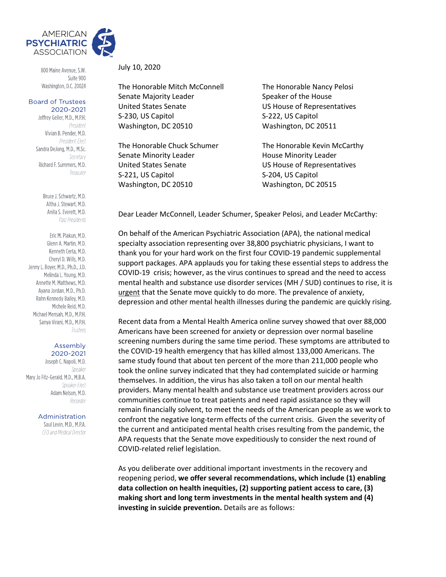

800 Maine Avenue, S.W. Suite 900 Washington, D.C. 20024

#### **Board of Trustees** 2020-2021

Jeffrey Geller, M.D., M.P.H. President Vivian B. Pender, M.D. President-Elect Sandra DeJong, M.D., M.Sc. Secretary Richard F. Summers, M.D. Treasurer

> Bruce J. Schwartz, M.D. Altha J. Stewart, M.D. Anita S. Everett, M.D. Past Presidents

Eric M. Plakun, M.D. Glenn A. Martin, M.D. Kenneth Certa, M.D. Cheryl D. Wills, M.D. Jenny L. Boyer, M.D., Ph.D., J.D. Melinda L. Young, M.D. Annette M. Matthews, M.D. Avana Jordan, M.D., Ph.D. Rahn Kennedy Bailey, M.D. Michele Reid, M.D. Michael Mensah, M.D., M.P.H. Sanya Virani, M.D., M.P.H. Trustees

#### Assembly 2020-2021

Joseph C. Napoli, M.D. Speaker Mary Jo Fitz-Gerald, M.D., M.B.A. Speaker-Flect Adam Nelson, M.D. Recorder

Administration

Saul Levin, M.D., M.P.A. CEO and Medical Director July 10, 2020

The Honorable Mitch McConnell The Honorable Nancy Pelosi Senate Majority Leader Speaker of the House United States Senate US House of Representatives S-230, US Capitol S-222, US Capitol Washington, DC 20510 Washington, DC 20511

Senate Minority Leader **House Minority Leader** United States Senate US House of Representatives S-221, US Capitol S-204, US Capitol Washington, DC 20510 Washington, DC 20515

The Honorable Chuck Schumer The Honorable Kevin McCarthy

Dear Leader McConnell, Leader Schumer, Speaker Pelosi, and Leader McCarthy:

On behalf of the American Psychiatric Association (APA), the national medical specialty association representing over 38,800 psychiatric physicians, I want to thank you for your hard work on the first four COVID-19 pandemic supplemental support packages. APA applauds you for taking these essential steps to address the COVID-19 crisis; however, as the virus continues to spread and the need to access mental health and substance use disorder services (MH / SUD) continues to rise, it is urgent that the Senate move quickly to do more. The prevalence of anxiety, depression and other mental health illnesses during the pandemic are quickly rising.

Recent data from a Mental Health America online survey showed that over 88,000 Americans have been screened for anxiety or depression over normal baseline screening numbers during the same time period. These symptoms are attributed to the COVID-19 health emergency that has killed almost 133,000 Americans. The same study found that about ten percent of the more than 211,000 people who took the online survey indicated that they had contemplated suicide or harming themselves. In addition, the virus has also taken a toll on our mental health providers. Many mental health and substance use treatment providers across our communities continue to treat patients and need rapid assistance so they will remain financially solvent, to meet the needs of the American people as we work to confront the negative long-term effects of the current crisis. Given the severity of the current and anticipated mental health crises resulting from the pandemic, the APA requests that the Senate move expeditiously to consider the next round of COVID-related relief legislation.

As you deliberate over additional important investments in the recovery and reopening period, **we offer several recommendations, which include (1) enabling data collection on health inequities, (2) supporting patient access to care, (3) making short and long term investments in the mental health system and (4) investing in suicide prevention.** Details are as follows: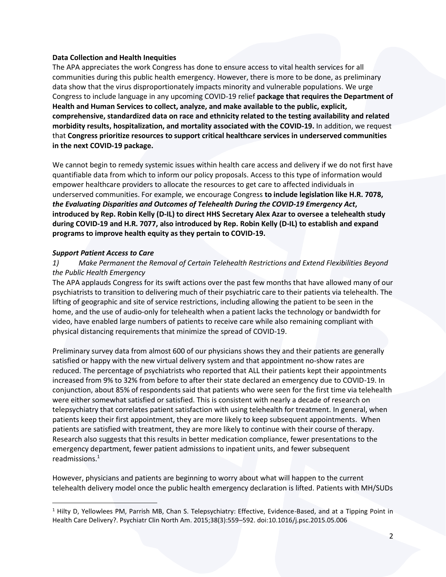### **Data Collection and Health Inequities**

The APA appreciates the work Congress has done to ensure access to vital health services for all communities during this public health emergency. However, there is more to be done, as preliminary data show that the virus disproportionately impacts minority and vulnerable populations. We urge Congress to include language in any upcoming COVID-19 relief **package that requires the Department of Health and Human Services to collect, analyze, and make available to the public, explicit, comprehensive, standardized data on race and ethnicity related to the testing availability and related morbidity results, hospitalization, and mortality associated with the COVID-19.** In addition, we request that **Congress prioritize resources to support critical healthcare services in underserved communities in the next COVID-19 package.** 

We cannot begin to remedy systemic issues within health care access and delivery if we do not first have quantifiable data from which to inform our policy proposals. Access to this type of information would empower healthcare providers to allocate the resources to get care to affected individuals in underserved communities. For example, we encourage Congress **to include legislation like H.R. 7078,**  *the Evaluating Disparities and Outcomes of Telehealth During the COVID-19 Emergency Act***, introduced by Rep. Robin Kelly (D-IL) to direct HHS Secretary Alex Azar to oversee a telehealth study during COVID-19 and H.R. 7077, also introduced by Rep. Robin Kelly (D-IL) to establish and expand programs to improve health equity as they pertain to COVID-19.**

## *Support Patient Access to Care*

# *1) Make Permanent the Removal of Certain Telehealth Restrictions and Extend Flexibilities Beyond the Public Health Emergency*

The APA applauds Congress for its swift actions over the past few months that have allowed many of our psychiatrists to transition to delivering much of their psychiatric care to their patients via telehealth. The lifting of geographic and site of service restrictions, including allowing the patient to be seen in the home, and the use of audio-only for telehealth when a patient lacks the technology or bandwidth for video, have enabled large numbers of patients to receive care while also remaining compliant with physical distancing requirements that minimize the spread of COVID-19.

Preliminary survey data from almost 600 of our physicians shows they and their patients are generally satisfied or happy with the new virtual delivery system and that appointment no-show rates are reduced. The percentage of psychiatrists who reported that ALL their patients kept their appointments increased from 9% to 32% from before to after their state declared an emergency due to COVID-19. In conjunction, about 85% of respondents said that patients who were seen for the first time via telehealth were either somewhat satisfied or satisfied. This is consistent with nearly a decade of research on telepsychiatry that correlates patient satisfaction with using telehealth for treatment. In general, when patients keep their first appointment, they are more likely to keep subsequent appointments. When patients are satisfied with treatment, they are more likely to continue with their course of therapy. Research also suggests that this results in better medication compliance, fewer presentations to the emergency department, fewer patient admissions to inpatient units, and fewer subsequent readmissions.<sup>1</sup>

However, physicians and patients are beginning to worry about what will happen to the current telehealth delivery model once the public health emergency declaration is lifted. Patients with MH/SUDs

<sup>1</sup> Hilty D, Yellowlees PM, Parrish MB, Chan S. Telepsychiatry: Effective, Evidence-Based, and at a Tipping Point in Health Care Delivery?. Psychiatr Clin North Am. 2015;38(3):559–592. doi:10.1016/j.psc.2015.05.006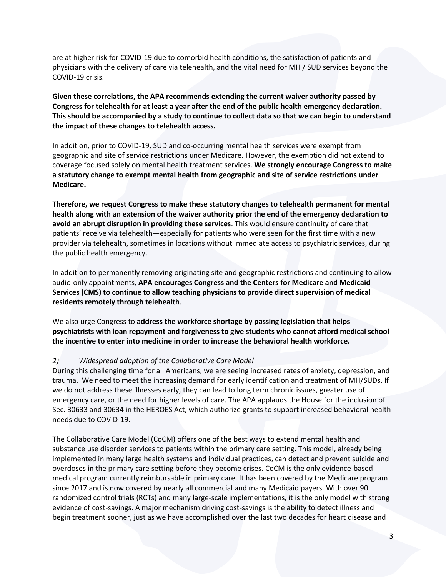are at higher risk for COVID-19 due to comorbid health conditions, the satisfaction of patients and physicians with the delivery of care via telehealth, and the vital need for MH / SUD services beyond the COVID-19 crisis.

**Given these correlations, the APA recommends extending the current waiver authority passed by Congress for telehealth for at least a year after the end of the public health emergency declaration. This should be accompanied by a study to continue to collect data so that we can begin to understand the impact of these changes to telehealth access.**

In addition, prior to COVID-19, SUD and co-occurring mental health services were exempt from geographic and site of service restrictions under Medicare. However, the exemption did not extend to coverage focused solely on mental health treatment services. **We strongly encourage Congress to make a statutory change to exempt mental health from geographic and site of service restrictions under Medicare.**

**Therefore, we request Congress to make these statutory changes to telehealth permanent for mental health along with an extension of the waiver authority prior the end of the emergency declaration to avoid an abrupt disruption in providing these services**. This would ensure continuity of care that patients' receive via telehealth—especially for patients who were seen for the first time with a new provider via telehealth, sometimes in locations without immediate access to psychiatric services, during the public health emergency.

In addition to permanently removing originating site and geographic restrictions and continuing to allow audio-only appointments, **APA encourages Congress and the Centers for Medicare and Medicaid Services (CMS) to continue to allow teaching physicians to provide direct supervision of medical residents remotely through telehealth**.

We also urge Congress to **address the workforce shortage by passing legislation that helps psychiatrists with loan repayment and forgiveness to give students who cannot afford medical school the incentive to enter into medicine in order to increase the behavioral health workforce.**

## *2) Widespread adoption of the Collaborative Care Model*

During this challenging time for all Americans, we are seeing increased rates of anxiety, depression, and trauma. We need to meet the increasing demand for early identification and treatment of MH/SUDs. If we do not address these illnesses early, they can lead to long term chronic issues, greater use of emergency care, or the need for higher levels of care. The APA applauds the House for the inclusion of Sec. 30633 and 30634 in the HEROES Act, which authorize grants to support increased behavioral health needs due to COVID-19.

The Collaborative Care Model (CoCM) offers one of the best ways to extend mental health and substance use disorder services to patients within the primary care setting. This model, already being implemented in many large health systems and individual practices, can detect and prevent suicide and overdoses in the primary care setting before they become crises. CoCM is the only evidence-based medical program currently reimbursable in primary care. It has been covered by the Medicare program since 2017 and is now covered by nearly all commercial and many Medicaid payers. With over 90 randomized control trials (RCTs) and many large-scale implementations, it is the only model with strong evidence of cost-savings. A major mechanism driving cost-savings is the ability to detect illness and begin treatment sooner, just as we have accomplished over the last two decades for heart disease and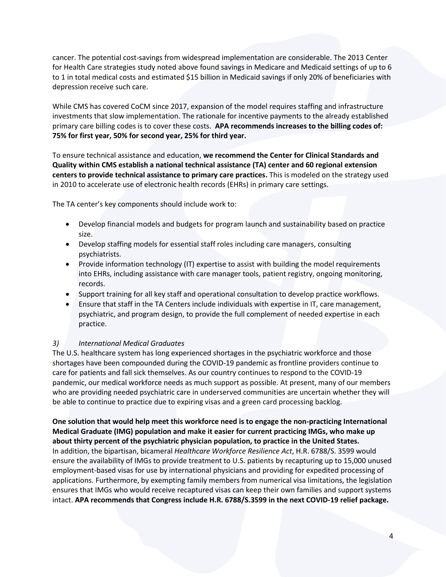cancer. The potential cost-savings from widespread implementation are considerable. The 2013 Center for Health Care strategies study noted above found savings in Medicare and Medicaid settings of up to 6 to 1 in total medical costs and estimated \$15 billion in Medicaid savings if only 20% of beneficiaries with depression receive such care.

While CMS has covered CoCM since 2017, expansion of the model requires staffing and infrastructure investments that slow implementation. The rationale for incentive payments to the already established primary care billing codes is to cover these costs. **APA recommends increases to the billing codes of: 75% for first year, 50% for second year, 25% for third year.**

To ensure technical assistance and education, **we recommend the Center for Clinical Standards and Quality within CMS establish a national technical assistance (TA) center and 60 regional extension centers to provide technical assistance to primary care practices.** This is modeled on the strategy used in 2010 to accelerate use of electronic health records (EHRs) in primary care settings.

The TA center's key components should include work to:

- Develop financial models and budgets for program launch and sustainability based on practice size.
- Develop staffing models for essential staff roles including care managers, consulting psychiatrists.
- Provide information technology (IT) expertise to assist with building the model requirements into EHRs, including assistance with care manager tools, patient registry, ongoing monitoring, records.
- Support training for all key staff and operational consultation to develop practice workflows.
- Ensure that staff in the TA Centers include individuals with expertise in IT, care management, psychiatric, and program design, to provide the full complement of needed expertise in each practice.

# *3) International Medical Graduates*

The U.S. healthcare system has long experienced shortages in the psychiatric workforce and those shortages have been compounded during the COVID-19 pandemic as frontline providers continue to care for patients and fall sick themselves. As our country continues to respond to the COVID-19 pandemic, our medical workforce needs as much support as possible. At present, many of our members who are providing needed psychiatric care in underserved communities are uncertain whether they will be able to continue to practice due to expiring visas and a green card processing backlog.

**One solution that would help meet this workforce need is to engage the non-practicing International Medical Graduate (IMG) population and make it easier for current practicing IMGs, who make up about thirty percent of the psychiatric physician population, to practice in the United States.** In addition, the bipartisan, bicameral *Healthcare Workforce Resilience Act*, H.R. 6788/S. 3599 would ensure the availability of IMGs to provide treatment to U.S. patients by recapturing up to 15,000 unused employment-based visas for use by international physicians and providing for expedited processing of applications. Furthermore, by exempting family members from numerical visa limitations, the legislation ensures that IMGs who would receive recaptured visas can keep their own families and support systems intact. **APA recommends that Congress include H.R. 6788/S.3599 in the next COVID-19 relief package.**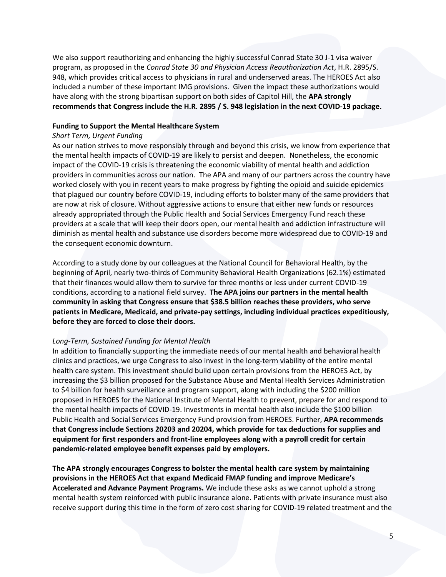We also support reauthorizing and enhancing the highly successful Conrad State 30 J-1 visa waiver program, as proposed in the *Conrad State 30 and Physician Access Reauthorization Act*, H.R. 2895/S. 948, which provides critical access to physicians in rural and underserved areas. The HEROES Act also included a number of these important IMG provisions. Given the impact these authorizations would have along with the strong bipartisan support on both sides of Capitol Hill, the **APA strongly recommends that Congress include the H.R. 2895 / S. 948 legislation in the next COVID-19 package.**

### **Funding to Support the Mental Healthcare System**

### *Short Term, Urgent Funding*

As our nation strives to move responsibly through and beyond this crisis, we know from experience that the mental health impacts of COVID-19 are likely to persist and deepen. Nonetheless, the economic impact of the COVID-19 crisis is threatening the economic viability of mental health and addiction providers in communities across our nation. The APA and many of our partners across the country have worked closely with you in recent years to make progress by fighting the opioid and suicide epidemics that plagued our country before COVID-19, including efforts to bolster many of the same providers that are now at risk of closure. Without aggressive actions to ensure that either new funds or resources already appropriated through the Public Health and Social Services Emergency Fund reach these providers at a scale that will keep their doors open, our mental health and addiction infrastructure will diminish as mental health and substance use disorders become more widespread due to COVID-19 and the consequent economic downturn.

According to a study done by our colleagues at the National Council for Behavioral Health, by the beginning of April, nearly two-thirds of Community Behavioral Health Organizations (62.1%) estimated that their finances would allow them to survive for three months or less under current COVID-19 conditions, according to a national field survey. **The APA joins our partners in the mental health community in asking that Congress ensure that \$38.5 billion reaches these providers, who serve patients in Medicare, Medicaid, and private-pay settings, including individual practices expeditiously, before they are forced to close their doors.**

## *Long-Term, Sustained Funding for Mental Health*

In addition to financially supporting the immediate needs of our mental health and behavioral health clinics and practices, we urge Congress to also invest in the long-term viability of the entire mental health care system. This investment should build upon certain provisions from the HEROES Act, by increasing the \$3 billion proposed for the Substance Abuse and Mental Health Services Administration to \$4 billion for health surveillance and program support, along with including the \$200 million proposed in HEROES for the National Institute of Mental Health to prevent, prepare for and respond to the mental health impacts of COVID-19. Investments in mental health also include the \$100 billion Public Health and Social Services Emergency Fund provision from HEROES. Further, **APA recommends that Congress include Sections 20203 and 20204, which provide for tax deductions for supplies and equipment for first responders and front-line employees along with a payroll credit for certain pandemic-related employee benefit expenses paid by employers.**

**The APA strongly encourages Congress to bolster the mental health care system by maintaining provisions in the HEROES Act that expand Medicaid FMAP funding and improve Medicare's Accelerated and Advance Payment Programs.** We include these asks as we cannot uphold a strong mental health system reinforced with public insurance alone. Patients with private insurance must also receive support during this time in the form of zero cost sharing for COVID-19 related treatment and the